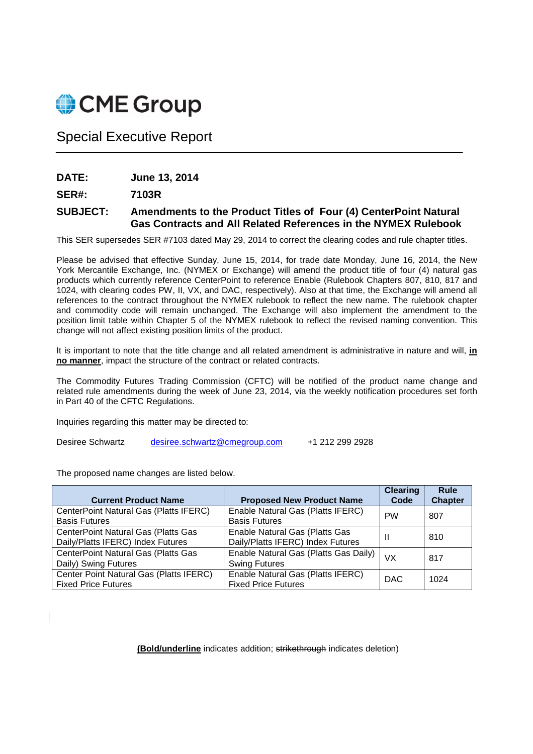

## Special Executive Report

**DATE: June 13, 2014** 

**SER#: 7103R** 

## **SUBJECT: Amendments to the Product Titles of Four (4) CenterPoint Natural Gas Contracts and All Related References in the NYMEX Rulebook**

This SER supersedes SER #7103 dated May 29, 2014 to correct the clearing codes and rule chapter titles.

Please be advised that effective Sunday, June 15, 2014, for trade date Monday, June 16, 2014, the New York Mercantile Exchange, Inc. (NYMEX or Exchange) will amend the product title of four (4) natural gas products which currently reference CenterPoint to reference Enable (Rulebook Chapters 807, 810, 817 and 1024, with clearing codes PW, II, VX, and DAC, respectively). Also at that time, the Exchange will amend all references to the contract throughout the NYMEX rulebook to reflect the new name. The rulebook chapter and commodity code will remain unchanged. The Exchange will also implement the amendment to the position limit table within Chapter 5 of the NYMEX rulebook to reflect the revised naming convention. This change will not affect existing position limits of the product.

It is important to note that the title change and all related amendment is administrative in nature and will, **in no manner**, impact the structure of the contract or related contracts.

The Commodity Futures Trading Commission (CFTC) will be notified of the product name change and related rule amendments during the week of June 23, 2014, via the weekly notification procedures set forth in Part 40 of the CFTC Regulations.

Inquiries regarding this matter may be directed to:

Desiree Schwartz desiree.schwartz@cmegroup.com +1 212 299 2928

The proposed name changes are listed below.

| <b>Current Product Name</b>             |                                       | <b>Clearing</b><br>Code | <b>Rule</b><br><b>Chapter</b> |
|-----------------------------------------|---------------------------------------|-------------------------|-------------------------------|
|                                         | <b>Proposed New Product Name</b>      |                         |                               |
| CenterPoint Natural Gas (Platts IFERC)  | Enable Natural Gas (Platts IFERC)     | <b>PW</b>               | 807                           |
| <b>Basis Futures</b>                    | <b>Basis Futures</b>                  |                         |                               |
| CenterPoint Natural Gas (Platts Gas     | Enable Natural Gas (Platts Gas        |                         |                               |
| Daily/Platts IFERC) Index Futures       | Daily/Platts IFERC) Index Futures     |                         | 810                           |
| CenterPoint Natural Gas (Platts Gas     | Enable Natural Gas (Platts Gas Daily) | VX                      | 817                           |
| Daily) Swing Futures                    | <b>Swing Futures</b>                  |                         |                               |
| Center Point Natural Gas (Platts IFERC) | Enable Natural Gas (Platts IFERC)     | <b>DAC</b>              | 1024                          |
| <b>Fixed Price Futures</b>              | <b>Fixed Price Futures</b>            |                         |                               |

**(Bold/underline** indicates addition; strikethrough indicates deletion)